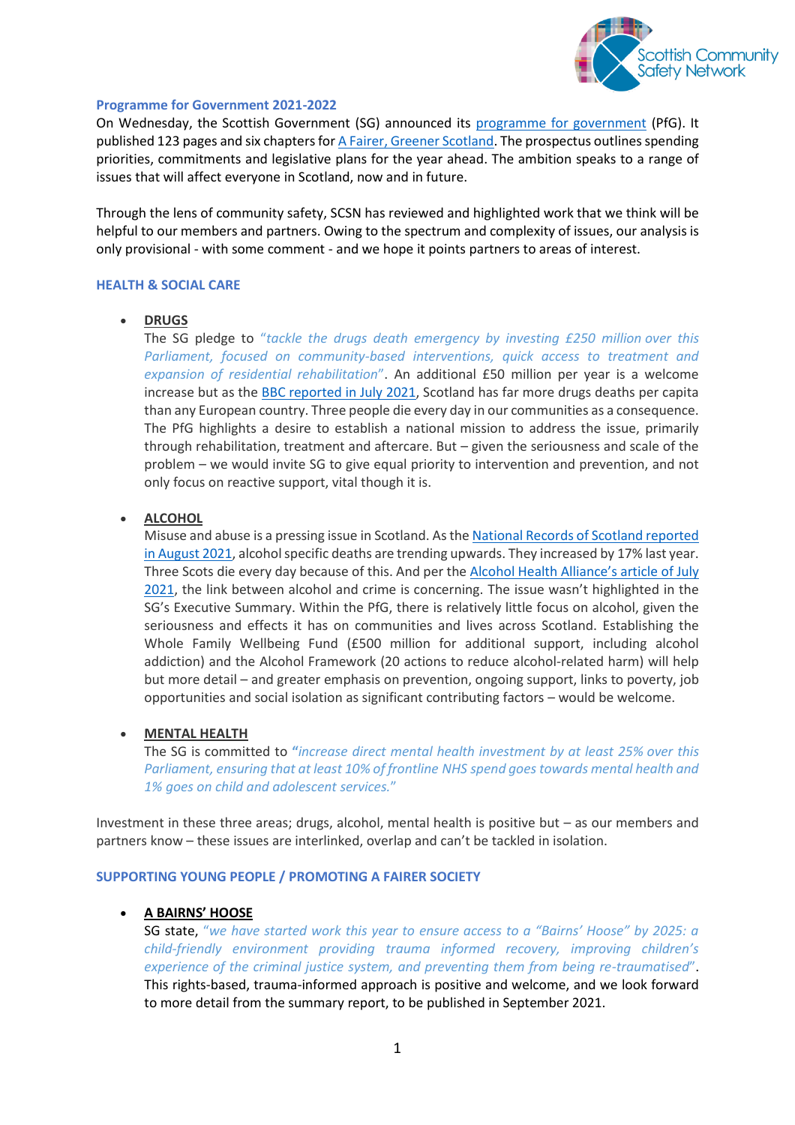

### **Programme for Government 2021-2022**

On Wednesday, the Scottish Government (SG) announced its [programme for government](https://www.gov.scot/programme-for-government/) (PfG). It published 123 pages and six chapters for [A Fairer, Greener Scotland.](https://www.gov.scot/publications/fairer-greener-scotland-programme-government-2021-22/documents/) The prospectus outlines spending priorities, commitments and legislative plans for the year ahead. The ambition speaks to a range of issues that will affect everyone in Scotland, now and in future.

Through the lens of community safety, SCSN has reviewed and highlighted work that we think will be helpful to our members and partners. Owing to the spectrum and complexity of issues, our analysis is only provisional - with some comment - and we hope it points partners to areas of interest.

## **HEALTH & SOCIAL CARE**

## **DRUGS**

The SG pledge to "*tackle the drugs death emergency by investing £250 million over this Parliament, focused on community-based interventions, quick access to treatment and expansion of residential rehabilitation*". An additional £50 million per year is a welcome increase but as th[e BBC reported in July 2021,](https://www.bbc.co.uk/news/uk-scotland-58024296) Scotland has far more drugs deaths per capita than any European country. Three people die every day in our communities as a consequence. The PfG highlights a desire to establish a national mission to address the issue, primarily through rehabilitation, treatment and aftercare. But – given the seriousness and scale of the problem – we would invite SG to give equal priority to intervention and prevention, and not only focus on reactive support, vital though it is.

# **ALCOHOL**

Misuse and abuse is a pressing issue in Scotland. As th[e National Records of Scotland reported](https://www.nrscotland.gov.uk/news/2021/alcohol-specific-deaths-in-scotland-increase)  [in August 2021,](https://www.nrscotland.gov.uk/news/2021/alcohol-specific-deaths-in-scotland-increase) alcohol specific deaths are trending upwards. They increased by 17% last year. Three Scots die every day because of this. And per the [Alcohol Health Alliance'](https://ahauk.org/how-drinking-impacts-policing/)s article of July [2021,](https://ahauk.org/how-drinking-impacts-policing/) the link between alcohol and crime is concerning. The issue wasn't highlighted in the SG's Executive Summary. Within the PfG, there is relatively little focus on alcohol, given the seriousness and effects it has on communities and lives across Scotland. Establishing the Whole Family Wellbeing Fund (£500 million for additional support, including alcohol addiction) and the Alcohol Framework (20 actions to reduce alcohol-related harm) will help but more detail – and greater emphasis on prevention, ongoing support, links to poverty, job opportunities and social isolation as significant contributing factors – would be welcome.

#### **MENTAL HEALTH**

The SG is committed to **"***increase direct mental health investment by at least 25% over this Parliament, ensuring that at least 10% of frontline NHS spend goes towards mental health and 1% goes on child and adolescent services.*"

Investment in these three areas; drugs, alcohol, mental health is positive but – as our members and partners know – these issues are interlinked, overlap and can't be tackled in isolation.

#### **SUPPORTING YOUNG PEOPLE / PROMOTING A FAIRER SOCIETY**

# **A BAIRNS' HOOSE**

SG state, "*we have started work this year to ensure access to a "Bairns' Hoose" by 2025: a child-friendly environment providing trauma informed recovery, improving children's experience of the criminal justice system, and preventing them from being re-traumatised*". This rights-based, trauma-informed approach is positive and welcome, and we look forward to more detail from the summary report, to be published in September 2021.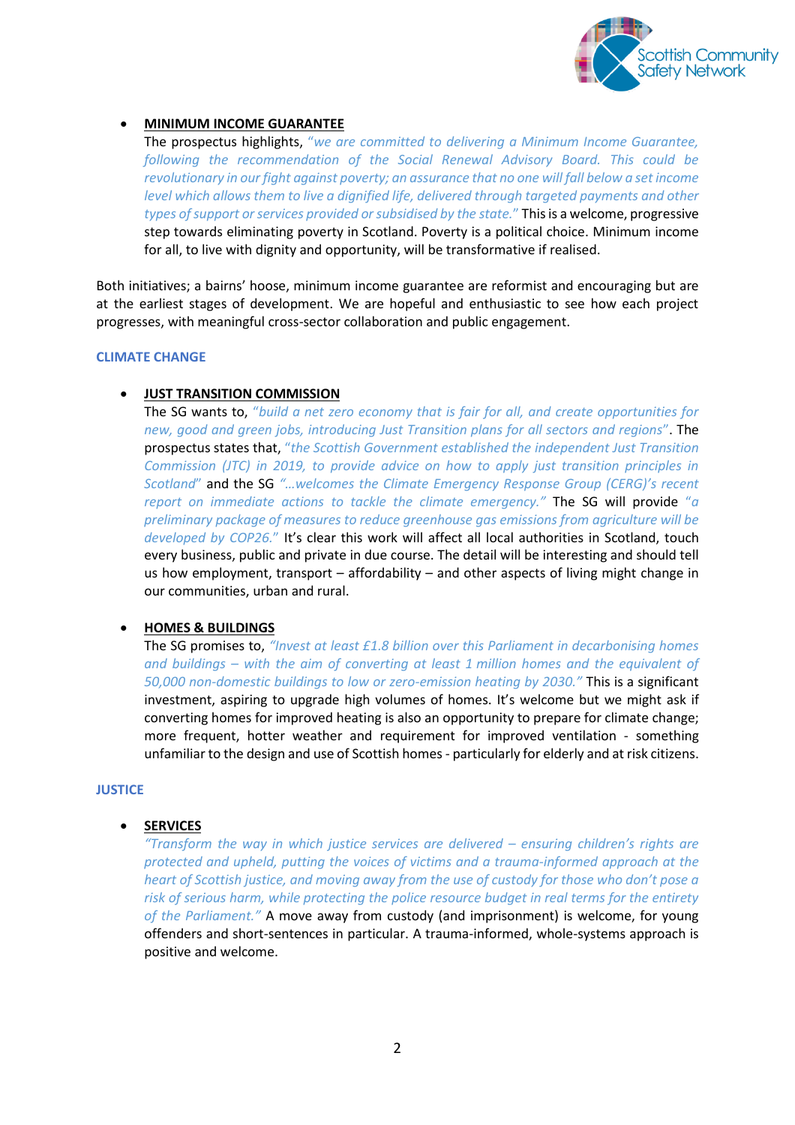

# **MINIMUM INCOME GUARANTEE**

The prospectus highlights, "*we are committed to delivering a Minimum Income Guarantee, following the recommendation of the Social Renewal Advisory Board. This could be revolutionary in our fight against poverty; an assurance that no one will fall below a set income level which allows them to live a dignified life, delivered through targeted payments and other types of support or services provided or subsidised by the state.*" This is a welcome, progressive step towards eliminating poverty in Scotland. Poverty is a political choice. Minimum income for all, to live with dignity and opportunity, will be transformative if realised.

Both initiatives; a bairns' hoose, minimum income guarantee are reformist and encouraging but are at the earliest stages of development. We are hopeful and enthusiastic to see how each project progresses, with meaningful cross-sector collaboration and public engagement.

## **CLIMATE CHANGE**

# **JUST TRANSITION COMMISSION**

The SG wants to, "*build a net zero economy that is fair for all, and create opportunities for new, good and green jobs, introducing Just Transition plans for all sectors and regions*". The prospectus states that, "*the Scottish Government established the independent Just Transition Commission (JTC) in 2019, to provide advice on how to apply just transition principles in Scotland*" and the SG *"…welcomes the Climate Emergency Response Group (CERG)'s recent report on immediate actions to tackle the climate emergency."* The SG will provide "*a preliminary package of measures to reduce greenhouse gas emissions from agriculture will be developed by COP26.*" It's clear this work will affect all local authorities in Scotland, touch every business, public and private in due course. The detail will be interesting and should tell us how employment, transport – affordability – and other aspects of living might change in our communities, urban and rural.

# **HOMES & BUILDINGS**

The SG promises to, *"Invest at least £1.8 billion over this Parliament in decarbonising homes and buildings – with the aim of converting at least 1 million homes and the equivalent of 50,000 non-domestic buildings to low or zero-emission heating by 2030."* This is a significant investment, aspiring to upgrade high volumes of homes. It's welcome but we might ask if converting homes for improved heating is also an opportunity to prepare for climate change; more frequent, hotter weather and requirement for improved ventilation - something unfamiliar to the design and use of Scottish homes - particularly for elderly and at risk citizens.

#### **JUSTICE**

# **SERVICES**

*"Transform the way in which justice services are delivered – ensuring children's rights are protected and upheld, putting the voices of victims and a trauma-informed approach at the heart of Scottish justice, and moving away from the use of custody for those who don't pose a risk of serious harm, while protecting the police resource budget in real terms for the entirety of the Parliament."* A move away from custody (and imprisonment) is welcome, for young offenders and short-sentences in particular. A trauma-informed, whole-systems approach is positive and welcome.